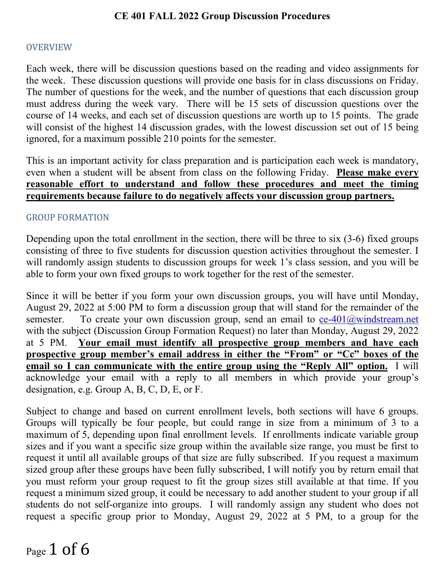#### **OVERVIEW**

Each week, there will be discussion questions based on the reading and video assignments for the week. These discussion questions will provide one basis for in class discussions on Friday. The number of questions for the week, and the number of questions that each discussion group must address during the week vary. There will be 15 sets of discussion questions over the course of 14 weeks, and each set of discussion questions are worth up to 15 points. The grade will consist of the highest 14 discussion grades, with the lowest discussion set out of 15 being ignored, for a maximum possible 210 points for the semester.

This is an important activity for class preparation and is participation each week is mandatory, even when a student will be absent from class on the following Friday. **Please make every reasonable effort to understand and follow these procedures and meet the timing requirements because failure to do negatively affects your discussion group partners.**

#### GROUP FORMATION

Depending upon the total enrollment in the section, there will be three to six (3-6) fixed groups consisting of three to five students for discussion question activities throughout the semester. I will randomly assign students to discussion groups for week 1's class session, and you will be able to form your own fixed groups to work together for the rest of the semester.

Since it will be better if you form your own discussion groups, you will have until Monday, August 29, 2022 at 5:00 PM to form a discussion group that will stand for the remainder of the semester. To create your own discussion group, send an email to  $ce-401@$ windstream.net with the subject (Discussion Group Formation Request) no later than Monday, August 29, 2022 at 5 PM. **Your email must identify all prospective group members and have each prospective group member's email address in either the "From" or "Cc" boxes of the email so I can communicate with the entire group using the "Reply All" option.** I will acknowledge your email with a reply to all members in which provide your group's designation, e.g. Group A, B, C, D, E, or F.

Subject to change and based on current enrollment levels, both sections will have 6 groups. Groups will typically be four people, but could range in size from a minimum of 3 to a maximum of 5, depending upon final enrollment levels. If enrollments indicate variable group sizes and if you want a specific size group within the available size range, you must be first to request it until all available groups of that size are fully subscribed. If you request a maximum sized group after these groups have been fully subscribed, I will notify you by return email that you must reform your group request to fit the group sizes still available at that time. If you request a minimum sized group, it could be necessary to add another student to your group if all students do not self-organize into groups. I will randomly assign any student who does not request a specific group prior to Monday, August 29, 2022 at 5 PM, to a group for the

Page 1 of 6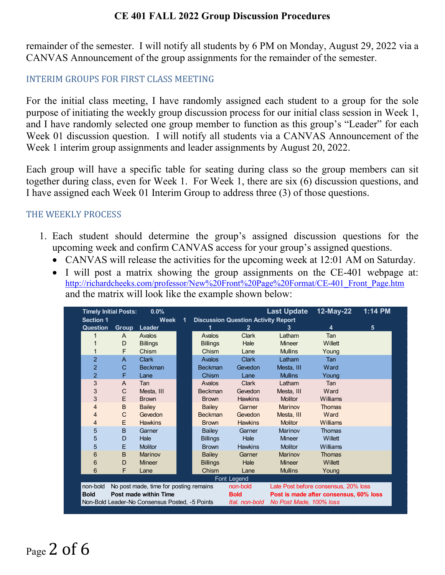remainder of the semester. I will notify all students by 6 PM on Monday, August 29, 2022 via a CANVAS Announcement of the group assignments for the remainder of the semester.

# INTERIM GROUPS FOR FIRST CLASS MEETING

For the initial class meeting, I have randomly assigned each student to a group for the sole purpose of initiating the weekly group discussion process for our initial class session in Week 1, and I have randomly selected one group member to function as this group's "Leader" for each Week 01 discussion question. I will notify all students via a CANVAS Announcement of the Week 1 interim group assignments and leader assignments by August 20, 2022.

Each group will have a specific table for seating during class so the group members can sit together during class, even for Week 1. For Week 1, there are six (6) discussion questions, and I have assigned each Week 01 Interim Group to address three (3) of those questions.

#### THE WEEKLY PROCESS

- 1. Each student should determine the group's assigned discussion questions for the upcoming week and confirm CANVAS access for your group's assigned questions.
	- CANVAS will release the activities for the upcoming week at 12:01 AM on Saturday.
	- I will post a matrix showing the group assignments on the CE-401 webpage at: [http://richardcheeks.com/professor/New%20Front%20Page%20Format/CE-401\\_Front\\_Page.htm](http://richardcheeks.com/professor/New%20Front%20Page%20Format/CE-401_Front_Page.htm) and the matrix will look like the example shown below:

| <b>Timely Initial Posts:</b>                   |              | 0.0%                                   |                                            |                 |                | <b>Last Update</b>                     | 12-May-22  | 1:14 PM |
|------------------------------------------------|--------------|----------------------------------------|--------------------------------------------|-----------------|----------------|----------------------------------------|------------|---------|
| <b>Section 1</b><br><b>Week</b>                |              | 1                                      | <b>Discussion Question Activity Report</b> |                 |                |                                        |            |         |
| Question                                       | Group        | Leader                                 |                                            |                 | $\mathbf{2}$   | 3                                      | 4          | 5       |
|                                                | $\mathsf{A}$ | Avalos                                 |                                            | Avalos          | <b>Clark</b>   | Latham                                 | <b>Tan</b> |         |
|                                                | D            | <b>Billings</b>                        |                                            | <b>Billings</b> | Hale           | <b>Mineer</b>                          | Willett    |         |
|                                                | F            | Chism                                  |                                            | Chism           | Lane           | <b>Mullins</b>                         | Young      |         |
| $\overline{2}$                                 | $\mathsf{A}$ | <b>Clark</b>                           |                                            | <b>Avalos</b>   | <b>Clark</b>   | Latham                                 | <b>Tan</b> |         |
| $\overline{2}$                                 | $\mathbf C$  | <b>Beckman</b>                         |                                            | <b>Beckman</b>  | Gevedon        | Mesta, III                             | Ward       |         |
| $\overline{2}$                                 | F            | Lane                                   |                                            | Chism           | Lane           | <b>Mullins</b>                         | Young      |         |
| 3                                              | A            | Tan                                    |                                            | Avalos          | <b>Clark</b>   | Latham                                 | Tan        |         |
| 3                                              | C            | Mesta, III                             |                                            | <b>Beckman</b>  | Gevedon        | Mesta, III                             | Ward       |         |
| 3                                              | E            | <b>Brown</b>                           |                                            | <b>Brown</b>    | <b>Hawkins</b> | <b>Molitor</b>                         | Williams   |         |
| 4                                              | B            | <b>Bailey</b>                          |                                            | Bailey          | Garner         | Marinov                                | Thomas     |         |
| 4                                              | C            | Gevedon                                |                                            | <b>Beckman</b>  | Gevedon        | Mesta. III                             | Ward       |         |
| 4                                              | E            | <b>Hawkins</b>                         |                                            | <b>Brown</b>    | <b>Hawkins</b> | <b>Molitor</b>                         | Williams   |         |
| 5                                              | B            | Garner                                 |                                            | Bailey          | Garner         | Marinov                                | Thomas     |         |
| 5                                              | D            | Hale                                   |                                            | <b>Billings</b> | Hale           | <b>Mineer</b>                          | Willett    |         |
| 5                                              | E            | <b>Molitor</b>                         |                                            | <b>Brown</b>    | <b>Hawkins</b> | <b>Molitor</b>                         | Williams   |         |
| 6                                              | B            | Marinov                                |                                            | <b>Bailey</b>   | Garner         | Marinov                                | Thomas     |         |
| 6                                              | D            | <b>Mineer</b>                          |                                            | <b>Billings</b> | Hale           | <b>Mineer</b>                          | Willett    |         |
| 6                                              | F            | Lane                                   |                                            | Chism           | Lane           | <b>Mullins</b>                         | Young      |         |
|                                                |              |                                        |                                            |                 | Font Legend    |                                        |            |         |
| non-bold                                       |              | No post made, time for posting remains |                                            |                 | non-bold       | Late Post before consensus, 20% loss   |            |         |
| Post made within Time<br><b>Bold</b>           |              |                                        |                                            |                 | <b>Bold</b>    | Post is made after consensus, 60% loss |            |         |
| Non-Bold Leader-No Consensus Posted, -5 Points |              |                                        |                                            |                 | Ital. non-bold | No Post Made, 100% loss                |            |         |

# Page 2 of 6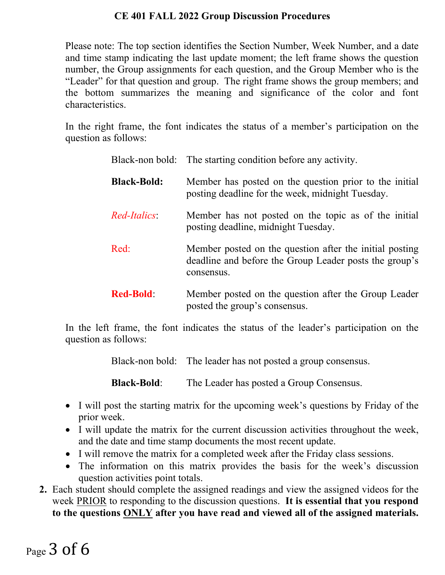Please note: The top section identifies the Section Number, Week Number, and a date and time stamp indicating the last update moment; the left frame shows the question number, the Group assignments for each question, and the Group Member who is the "Leader" for that question and group. The right frame shows the group members; and the bottom summarizes the meaning and significance of the color and font characteristics.

In the right frame, the font indicates the status of a member's participation on the question as follows:

|                    | Black-non bold: The starting condition before any activity.                                                                     |
|--------------------|---------------------------------------------------------------------------------------------------------------------------------|
| <b>Black-Bold:</b> | Member has posted on the question prior to the initial<br>posting deadline for the week, midnight Tuesday.                      |
| Red-Italics:       | Member has not posted on the topic as of the initial<br>posting deadline, midnight Tuesday.                                     |
| Red:               | Member posted on the question after the initial posting<br>deadline and before the Group Leader posts the group's<br>consensus. |
| <b>Red-Bold:</b>   | Member posted on the question after the Group Leader<br>posted the group's consensus.                                           |

In the left frame, the font indicates the status of the leader's participation on the question as follows:

Black-non bold: The leader has not posted a group consensus.

**Black-Bold**: The Leader has posted a Group Consensus.

- I will post the starting matrix for the upcoming week's questions by Friday of the prior week.
- I will update the matrix for the current discussion activities throughout the week, and the date and time stamp documents the most recent update.
- I will remove the matrix for a completed week after the Friday class sessions.
- The information on this matrix provides the basis for the week's discussion question activities point totals.
- **2.** Each student should complete the assigned readings and view the assigned videos for the week PRIOR to responding to the discussion questions. **It is essential that you respond to the questions ONLY after you have read and viewed all of the assigned materials.**

# Page 3 of 6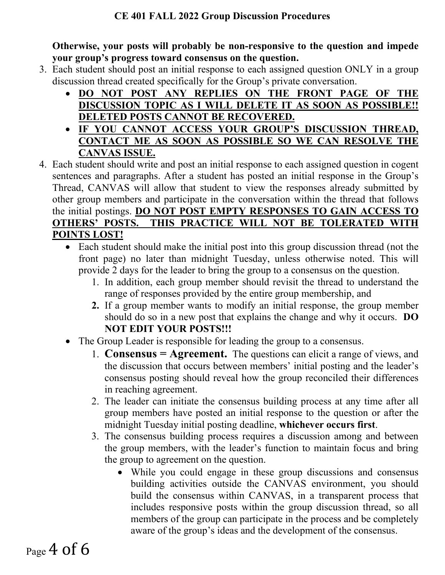**Otherwise, your posts will probably be non-responsive to the question and impede your group's progress toward consensus on the question.**

- 3. Each student should post an initial response to each assigned question ONLY in a group discussion thread created specifically for the Group's private conversation.
	- **DO NOT POST ANY REPLIES ON THE FRONT PAGE OF THE DISCUSSION TOPIC AS I WILL DELETE IT AS SOON AS POSSIBLE!! DELETED POSTS CANNOT BE RECOVERED.**
	- **IF YOU CANNOT ACCESS YOUR GROUP'S DISCUSSION THREAD, CONTACT ME AS SOON AS POSSIBLE SO WE CAN RESOLVE THE CANVAS ISSUE.**
- 4. Each student should write and post an initial response to each assigned question in cogent sentences and paragraphs. After a student has posted an initial response in the Group's Thread, CANVAS will allow that student to view the responses already submitted by other group members and participate in the conversation within the thread that follows the initial postings. **DO NOT POST EMPTY RESPONSES TO GAIN ACCESS TO OTHERS' POSTS. THIS PRACTICE WILL NOT BE TOLERATED WITH POINTS LOST!**
	- Each student should make the initial post into this group discussion thread (not the front page) no later than midnight Tuesday, unless otherwise noted. This will provide 2 days for the leader to bring the group to a consensus on the question.
		- 1. In addition, each group member should revisit the thread to understand the range of responses provided by the entire group membership, and
		- **2.** If a group member wants to modify an initial response, the group member should do so in a new post that explains the change and why it occurs. **DO NOT EDIT YOUR POSTS!!!**
	- The Group Leader is responsible for leading the group to a consensus.
		- 1. **Consensus = Agreement.** The questions can elicit a range of views, and the discussion that occurs between members' initial posting and the leader's consensus posting should reveal how the group reconciled their differences in reaching agreement.
		- 2. The leader can initiate the consensus building process at any time after all group members have posted an initial response to the question or after the midnight Tuesday initial posting deadline, **whichever occurs first**.
		- 3. The consensus building process requires a discussion among and between the group members, with the leader's function to maintain focus and bring the group to agreement on the question.
			- While you could engage in these group discussions and consensus building activities outside the CANVAS environment, you should build the consensus within CANVAS, in a transparent process that includes responsive posts within the group discussion thread, so all members of the group can participate in the process and be completely aware of the group's ideas and the development of the consensus.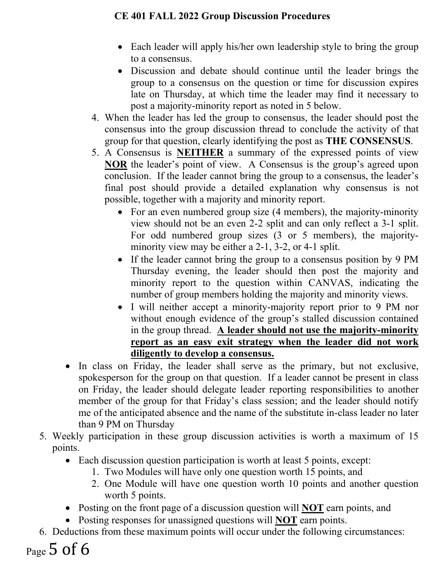- Each leader will apply his/her own leadership style to bring the group to a consensus.
- Discussion and debate should continue until the leader brings the group to a consensus on the question or time for discussion expires late on Thursday, at which time the leader may find it necessary to post a majority-minority report as noted in 5 below.
- 4. When the leader has led the group to consensus, the leader should post the consensus into the group discussion thread to conclude the activity of that group for that question, clearly identifying the post as **THE CONSENSUS**.
- 5. A Consensus is **NEITHER** a summary of the expressed points of view **NOR** the leader's point of view. A Consensus is the group's agreed upon conclusion. If the leader cannot bring the group to a consensus, the leader's final post should provide a detailed explanation why consensus is not possible, together with a majority and minority report.
	- For an even numbered group size (4 members), the majority-minority view should not be an even 2-2 split and can only reflect a 3-1 split. For odd numbered group sizes (3 or 5 members), the majorityminority view may be either a 2-1, 3-2, or 4-1 split.
	- If the leader cannot bring the group to a consensus position by 9 PM Thursday evening, the leader should then post the majority and minority report to the question within CANVAS, indicating the number of group members holding the majority and minority views.
	- I will neither accept a minority-majority report prior to 9 PM nor without enough evidence of the group's stalled discussion contained in the group thread. **A leader should not use the majority-minority report as an easy exit strategy when the leader did not work diligently to develop a consensus.**
- In class on Friday, the leader shall serve as the primary, but not exclusive, spokesperson for the group on that question. If a leader cannot be present in class on Friday, the leader should delegate leader reporting responsibilities to another member of the group for that Friday's class session; and the leader should notify me of the anticipated absence and the name of the substitute in-class leader no later than 9 PM on Thursday
- 5. Weekly participation in these group discussion activities is worth a maximum of 15 points.
	- Each discussion question participation is worth at least 5 points, except:
		- 1. Two Modules will have only one question worth 15 points, and
		- 2. One Module will have one question worth 10 points and another question worth 5 points.
	- Posting on the front page of a discussion question will **NOT** earn points, and
	- Posting responses for unassigned questions will **NOT** earn points.
- 6. Deductions from these maximum points will occur under the following circumstances:
- Page 5 of 6